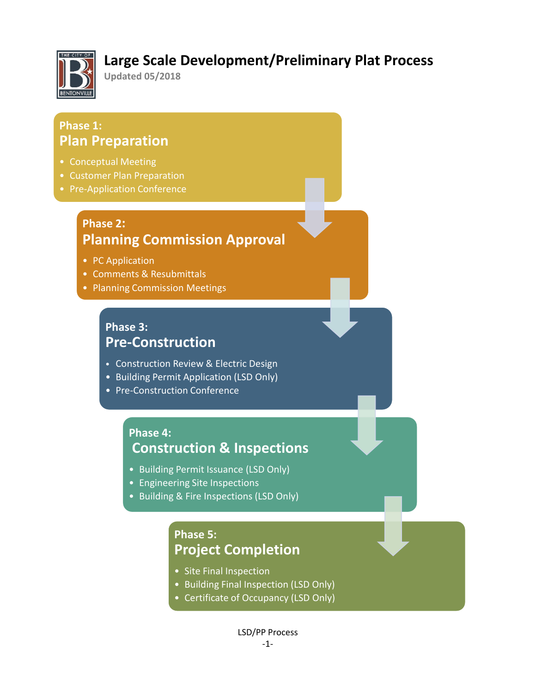

## **Large Scale Development/Preliminary Plat Process**

**Updated 05/2018**

## **Phase 1: Plan Preparation**

- Conceptual Meeting
- Customer Plan Preparation
- Pre-Application Conference

## **Phase 2: Planning Commission Approval**

- PC Application
- Comments & Resubmittals
- Planning Commission Meetings

### **Phase 3: Pre-Construction**

- Construction Review & Electric Design
- Building Permit Application (LSD Only)
- Pre-Construction Conference

### **Phase 4: Construction & Inspections**

- Building Permit Issuance (LSD Only)
- Engineering Site Inspections
- Building & Fire Inspections (LSD Only)

## **Phase 5: Project Completion**

- Site Final Inspection
- Building Final Inspection (LSD Only)
- Certificate of Occupancy (LSD Only)

LSD/PP Process -1-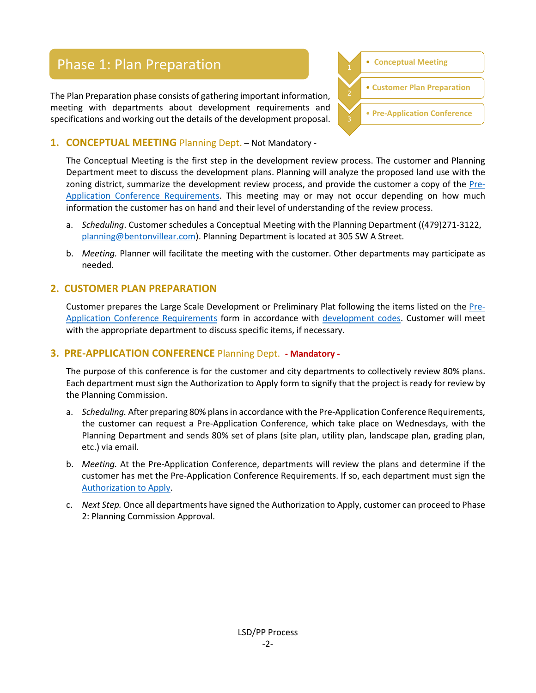## Phase 1: Plan Preparation 1 **1 1 Conceptual Meeting**

The Plan Preparation phase consists of gathering important information, meeting with departments about development requirements and specifications and working out the details of the development proposal.



#### **1. CONCEPTUAL MEETING** Planning Dept. – Not Mandatory -

The Conceptual Meeting is the first step in the development review process. The customer and Planning Department meet to discuss the development plans. Planning will analyze the proposed land use with the zoning district, summarize the development review process, and provide the customer a copy of the [Pre-](http://www.bentonvillear.com/DocumentCenter/View/1995/PAC-Requirements-Checklist_Web)[Application Conference Requirements.](http://www.bentonvillear.com/DocumentCenter/View/1995/PAC-Requirements-Checklist_Web) This meeting may or may not occur depending on how much information the customer has on hand and their level of understanding of the review process.

- a. *Scheduling*. Customer schedules a Conceptual Meeting with the Planning Department ((479)271-3122, [planning@bentonvillear.com\)](mailto:planning@bentonvillear.com). Planning Department is located at 305 SW A Street.
- b. *Meeting.* Planner will facilitate the meeting with the customer. Other departments may participate as needed.

#### **2. CUSTOMER PLAN PREPARATION**

Customer prepares the Large Scale Development or Preliminary Plat following the items listed on the [Pre-](http://www.bentonvillear.com/DocumentCenter/View/1995/PAC-Requirements-Checklist_Web)[Application Conference Requirements](http://www.bentonvillear.com/DocumentCenter/View/1995/PAC-Requirements-Checklist_Web) form in accordance with [development codes.](http://www.bentonvillear.com/188/Codes) Customer will meet with the appropriate department to discuss specific items, if necessary.

#### **3. PRE-APPLICATION CONFERENCE** Planning Dept. **- Mandatory -**

The purpose of this conference is for the customer and city departments to collectively review 80% plans. Each department must sign the Authorization to Apply form to signify that the project is ready for review by the Planning Commission.

- a. *Scheduling.* After preparing 80% plans in accordance with the Pre-Application Conference Requirements, the customer can request a Pre-Application Conference, which take place on Wednesdays, with the Planning Department and sends 80% set of plans (site plan, utility plan, landscape plan, grading plan, etc.) via email.
- b. *Meeting.* At the Pre-Application Conference, departments will review the plans and determine if the customer has met the Pre-Application Conference Requirements. If so, each department must sign the [Authorization to Apply.](http://www.bentonvillear.com/DocumentCenter/View/1994/Authorization-to-Apply)
- c. *Next Step.* Once all departments have signed the Authorization to Apply, customer can proceed to Phase 2: Planning Commission Approval.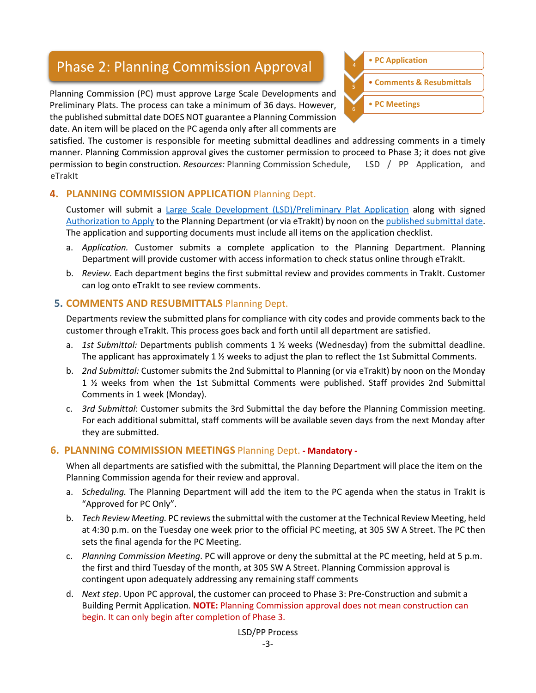# Phase 2: Planning Commission Approval **1998** • **PC Application**

Planning Commission (PC) must approve Large Scale Developments and Preliminary Plats. The process can take a minimum of 36 days. However, the published submittal date DOES NOT guarantee a Planning Commission date. An item will be placed on the PC agenda only after all comments are



satisfied. The customer is responsible for meeting submittal deadlines and addressing comments in a timely manner. Planning Commission approval gives the customer permission to proceed to Phase 3; it does not give permission to begin construction. *Resources:* Planning Commission Schedule, LSD / PP Application, and eTrakIt

#### **4. PLANNING COMMISSION APPLICATION** Planning Dept.

Customer will submit a [Large Scale Development \(LSD\)/Preliminary Plat Application](http://trakitweb.bentonvillear.com/etrakit/) along with signed [Authorization to Apply](http://www.bentonvillear.com/DocumentCenter/View/1994/Authorization-to-Apply) to the Planning Department (or via eTrakIt) by noon on the [published submittal date.](http://www.bentonvillear.com/DocumentCenter/View/702/Meeting-Schedule-and-Submittal-Deadlines-PDF) The application and supporting documents must include all items on the application checklist.

- a. *Application.* Customer submits a complete application to the Planning Department. Planning Department will provide customer with access information to check status online through eTrakIt.
- b. *Review.* Each department begins the first submittal review and provides comments in TrakIt. Customer can log onto eTrakIt to see review comments.

#### **5. COMMENTS AND RESUBMITTALS** Planning Dept.

Departments review the submitted plans for compliance with city codes and provide comments back to the customer through eTrakIt. This process goes back and forth until all department are satisfied.

- a. *1st Submittal:* Departments publish comments 1 ½ weeks (Wednesday) from the submittal deadline. The applicant has approximately 1 ½ weeks to adjust the plan to reflect the 1st Submittal Comments.
- b. *2nd Submittal:* Customer submits the 2nd Submittal to Planning (or via eTrakIt) by noon on the Monday 1 ½ weeks from when the 1st Submittal Comments were published. Staff provides 2nd Submittal Comments in 1 week (Monday).
- c. *3rd Submittal*: Customer submits the 3rd Submittal the day before the Planning Commission meeting. For each additional submittal, staff comments will be available seven days from the next Monday after they are submitted.

#### **6. PLANNING COMMISSION MEETINGS** Planning Dept. **- Mandatory -**

When all departments are satisfied with the submittal, the Planning Department will place the item on the Planning Commission agenda for their review and approval.

- a. *Scheduling.* The Planning Department will add the item to the PC agenda when the status in TrakIt is "Approved for PC Only".
- b. *Tech Review Meeting.* PC reviews the submittal with the customer at the Technical Review Meeting, held at 4:30 p.m. on the Tuesday one week prior to the official PC meeting, at 305 SW A Street. The PC then sets the final agenda for the PC Meeting.
- c. *Planning Commission Meeting*. PC will approve or deny the submittal at the PC meeting, held at 5 p.m. the first and third Tuesday of the month, at 305 SW A Street. Planning Commission approval is contingent upon adequately addressing any remaining staff comments
- d. *Next step*. Upon PC approval, the customer can proceed to Phase 3: Pre-Construction and submit a Building Permit Application. **NOTE:** Planning Commission approval does not mean construction can begin. It can only begin after completion of Phase 3.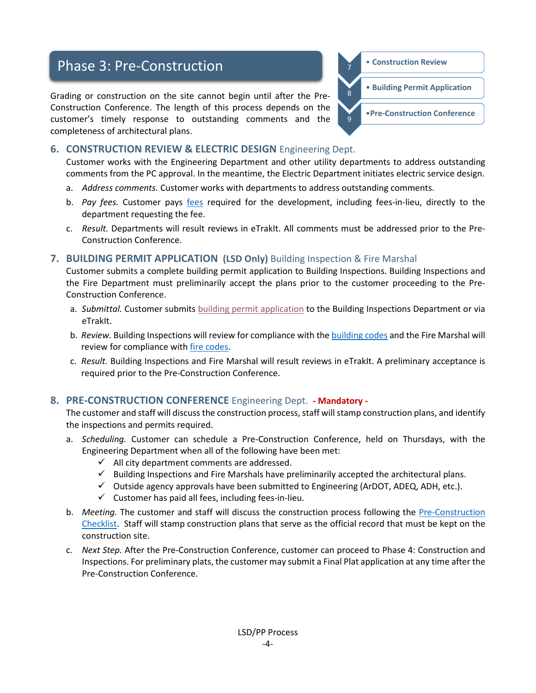## Phase 3: Pre-Construction *Phase* 3: Pre-Construction *CONSTRUCTER*

Grading or construction on the site cannot begin until after the Pre-Construction Conference. The length of this process depends on the customer's timely response to outstanding comments and the completeness of architectural plans.



#### **6. CONSTRUCTION REVIEW & ELECTRIC DESIGN** Engineering Dept.

Customer works with the Engineering Department and other utility departments to address outstanding comments from the PC approval. In the meantime, the Electric Department initiates electric service design.

- a. *Address comments.* Customer works with departments to address outstanding comments.
- b. *Pay fees.* Customer pays [fees](http://www.bentonvillear.com/996/Fees) required for the development, including fees-in-lieu, directly to the department requesting the fee.
- c. *Result.* Departments will result reviews in eTrakIt. All comments must be addressed prior to the Pre-Construction Conference.

#### **7. BUILDING PERMIT APPLICATION (LSD Only)** Building Inspection & Fire Marshal

Customer submits a complete building permit application to Building Inspections. Building Inspections and the Fire Department must preliminarily accept the plans prior to the customer proceeding to the Pre-Construction Conference.

- a. *Submittal.* Customer submits [building permit application](http://www.bentonvillear.com/180/Permit-Applications) to the Building Inspections Department or via eTrakIt.
- b. *Review.* Building Inspections will review for compliance with the [building codes](http://www.bentonvillear.com/734/Building-Codes) and the Fire Marshal will review for compliance with [fire codes.](http://www.bentonvillear.com/982/Codes)
- c. *Result.* Building Inspections and Fire Marshal will result reviews in eTrakIt. A preliminary acceptance is required prior to the Pre-Construction Conference.

#### **8. PRE-CONSTRUCTION CONFERENCE** Engineering Dept. **- Mandatory -**

The customer and staff will discuss the construction process, staff will stamp construction plans, and identify the inspections and permits required.

- a. *Scheduling.* Customer can schedule a Pre-Construction Conference, held on Thursdays, with the Engineering Department when all of the following have been met:
	- $\checkmark$  All city department comments are addressed.
	- $\checkmark$  Building Inspections and Fire Marshals have preliminarily accepted the architectural plans.
	- $\checkmark$  Outside agency approvals have been submitted to Engineering (ArDOT, ADEQ, ADH, etc.).
	- $\checkmark$  Customer has paid all fees, including fees-in-lieu.
- b. *Meeting.* The customer and staff will discuss the construction process following the [Pre-Construction](http://www.bentonvillear.com/DocumentCenter/View/1996)  [Checklist.](http://www.bentonvillear.com/DocumentCenter/View/1996) Staff will stamp construction plans that serve as the official record that must be kept on the construction site.
- c. *Next Step.* After the Pre-Construction Conference, customer can proceed to Phase 4: Construction and Inspections. For preliminary plats, the customer may submit a Final Plat application at any time after the Pre-Construction Conference.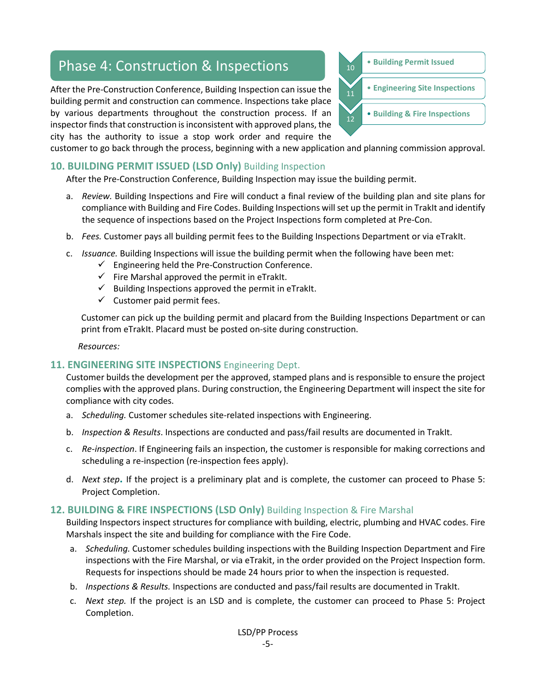## Phase 4: Construction & Inspections 10 **10** • Building Permit Issued

After the Pre-Construction Conference, Building Inspection can issue the building permit and construction can commence. Inspections take place by various departments throughout the construction process. If an inspector finds that construction is inconsistent with approved plans, the city has the authority to issue a stop work order and require the



customer to go back through the process, beginning with a new application and planning commission approval.

#### **10. BUILDING PERMIT ISSUED (LSD Only)** Building Inspection

After the Pre-Construction Conference, Building Inspection may issue the building permit.

- a. *Review.* Building Inspections and Fire will conduct a final review of the building plan and site plans for compliance with Building and Fire Codes. Building Inspections will set up the permit in TrakIt and identify the sequence of inspections based on the Project Inspections form completed at Pre-Con.
- b. *Fees.* Customer pays all building permit fees to the Building Inspections Department or via eTrakIt.
- c. *Issuance.* Building Inspections will issue the building permit when the following have been met:
	- $\checkmark$  Engineering held the Pre-Construction Conference.
	- $\checkmark$  Fire Marshal approved the permit in eTrakIt.
	- $\checkmark$  Building Inspections approved the permit in eTrakIt.
	- $\checkmark$  Customer paid permit fees.

Customer can pick up the building permit and placard from the Building Inspections Department or can print from eTrakIt. Placard must be posted on-site during construction.

*Resources:* 

#### **11. ENGINEERING SITE INSPECTIONS** Engineering Dept.

Customer builds the development per the approved, stamped plans and is responsible to ensure the project complies with the approved plans. During construction, the Engineering Department will inspect the site for compliance with city codes.

- a. *Scheduling.* Customer schedules site-related inspections with Engineering.
- b. *Inspection & Results*. Inspections are conducted and pass/fail results are documented in TrakIt.
- c. *Re-inspection*. If Engineering fails an inspection, the customer is responsible for making corrections and scheduling a re-inspection (re-inspection fees apply).
- d. *Next step***.** If the project is a preliminary plat and is complete, the customer can proceed to Phase 5: Project Completion.

#### **12. BUILDING & FIRE INSPECTIONS (LSD Only)** Building Inspection & Fire Marshal

Building Inspectors inspect structures for compliance with building, electric, plumbing and HVAC codes. Fire Marshals inspect the site and building for compliance with the Fire Code.

- a. *Scheduling.* Customer schedules building inspections with the Building Inspection Department and Fire inspections with the Fire Marshal, or via eTrakit, in the order provided on the Project Inspection form. Requests for inspections should be made 24 hours prior to when the inspection is requested.
- b. *Inspections & Results.* Inspections are conducted and pass/fail results are documented in TrakIt.
- c. *Next step.* If the project is an LSD and is complete, the customer can proceed to Phase 5: Project Completion.